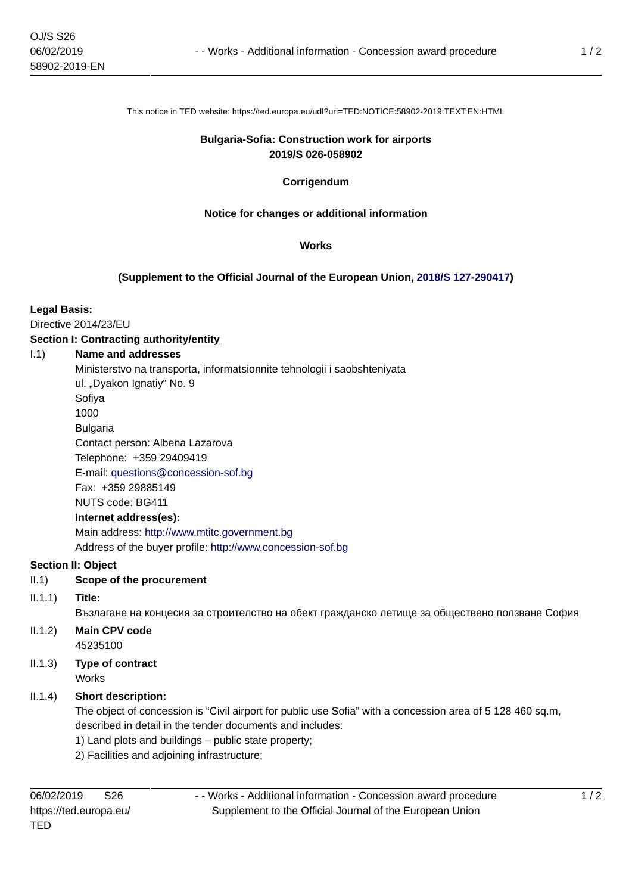This notice in TED website: https://ted.europa.eu/udl?uri=TED:NOTICE:58902-2019:TEXT:EN:HTML

### **Bulgaria-Sofia: Construction work for airports 2019/S 026-058902**

## **Corrigendum**

## **Notice for changes or additional information**

## **Works**

## **(Supplement to the Official Journal of the European Union, [2018/S 127-290417\)](https://ted.europa.eu/udl?uri=TED:NOTICE:290417-2018:TEXT:EN:HTML)**

## **Legal Basis:**

Directive 2014/23/EU

## **Section I: Contracting authority/entity**

### I.1) **Name and addresses**

Ministerstvo na transporta, informatsionnite tehnologii i saobshteniyata

ul. "Dyakon Ignatiy" No. 9

Sofiya

1000

Bulgaria Contact person: Albena Lazarova Telephone: +359 29409419

E-mail: [questions@concession-sof.bg](mailto:questions@concession-sof.bg) 

Fax: +359 29885149

NUTS code: BG411

# **Internet address(es):**

Main address:<http://www.mtitc.government.bg> Address of the buyer profile: <http://www.concession-sof.bg>

## **Section II: Object**

- II.1) **Scope of the procurement**
- II.1.1) **Title:**

Възлагане на концесия за строителство на обект гражданско летище за обществено ползване София

- II.1.2) **Main CPV code** 45235100
- II.1.3) **Type of contract** Works

# II.1.4) **Short description:**

The object of concession is "Civil airport for public use Sofia" with a concession area of 5 128 460 sq.m, described in detail in the tender documents and includes:

1) Land plots and buildings – public state property;

2) Facilities and adjoining infrastructure;